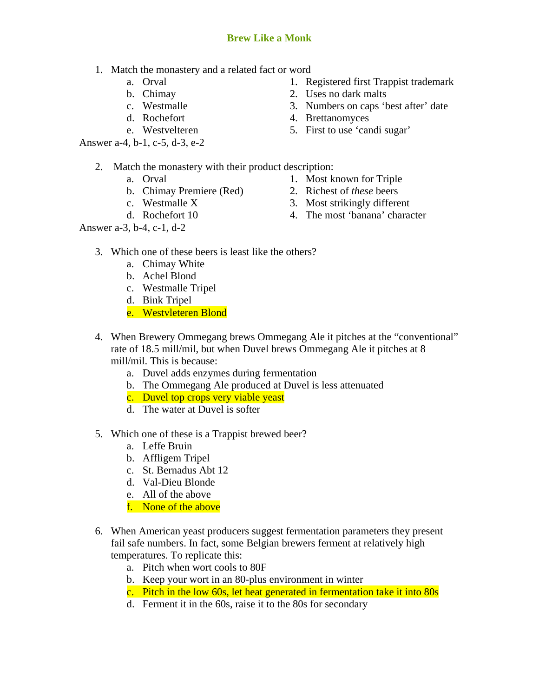## **Brew Like a Monk**

- 1. Match the monastery and a related fact or word
	- a. Orval
	- b. Chimay
	- c. Westmalle
	- d. Rochefort
	- e. Westvelteren
- Answer a-4, b-1, c-5, d-3, e-2
- 1. Registered first Trappist trademark
- 2. Uses no dark malts
- 3. Numbers on caps 'best after' date
- 4. Brettanomyces
- 5. First to use 'candi sugar'
- 2. Match the monastery with their product description:
	- a. Orval
	- b. Chimay Premiere (Red)
	- c. Westmalle X
	- d. Rochefort 10

Answer a-3, b-4, c-1, d-2

- 1. Most known for Triple
- 2. Richest of *these* beers
- 3. Most strikingly different
- 4. The most 'banana' character
- 3. Which one of these beers is least like the others?
	- a. Chimay White
	- b. Achel Blond
	- c. Westmalle Tripel
	- d. Bink Tripel
	- e. Westvleteren Blond
- 4. When Brewery Ommegang brews Ommegang Ale it pitches at the "conventional" rate of 18.5 mill/mil, but when Duvel brews Ommegang Ale it pitches at 8 mill/mil. This is because:
	- a. Duvel adds enzymes during fermentation
	- b. The Ommegang Ale produced at Duvel is less attenuated
	- c. Duvel top crops very viable yeast
	- d. The water at Duvel is softer
- 5. Which one of these is a Trappist brewed beer?
	- a. Leffe Bruin
	- b. Affligem Tripel
	- c. St. Bernadus Abt 12
	- d. Val-Dieu Blonde
	- e. All of the above
	- f. None of the above
- 6. When American yeast producers suggest fermentation parameters they present fail safe numbers. In fact, some Belgian brewers ferment at relatively high temperatures. To replicate this:
	- a. Pitch when wort cools to 80F
	- b. Keep your wort in an 80-plus environment in winter
	- c. Pitch in the low 60s, let heat generated in fermentation take it into 80s
	- d. Ferment it in the 60s, raise it to the 80s for secondary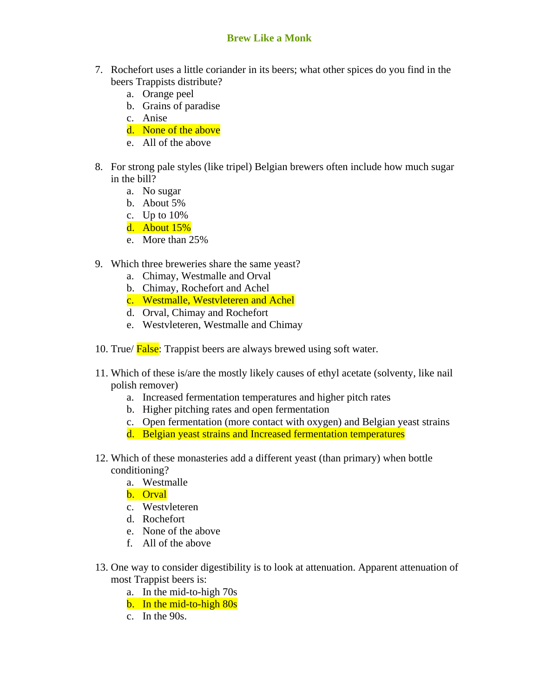## **Brew Like a Monk**

- 7. Rochefort uses a little coriander in its beers; what other spices do you find in the beers Trappists distribute?
	- a. Orange peel
	- b. Grains of paradise
	- c. Anise
	- d. None of the above
	- e. All of the above
- 8. For strong pale styles (like tripel) Belgian brewers often include how much sugar in the bill?
	- a. No sugar
	- b. About 5%
	- c. Up to 10%
	- d. About 15%
	- e. More than 25%
- 9. Which three breweries share the same yeast?
	- a. Chimay, Westmalle and Orval
	- b. Chimay, Rochefort and Achel
	- c. Westmalle, Westvleteren and Achel
	- d. Orval, Chimay and Rochefort
	- e. Westvleteren, Westmalle and Chimay
- 10. True/ False: Trappist beers are always brewed using soft water.
- 11. Which of these is/are the mostly likely causes of ethyl acetate (solventy, like nail polish remover)
	- a. Increased fermentation temperatures and higher pitch rates
	- b. Higher pitching rates and open fermentation
	- c. Open fermentation (more contact with oxygen) and Belgian yeast strains
	- d. Belgian yeast strains and Increased fermentation temperatures
- 12. Which of these monasteries add a different yeast (than primary) when bottle conditioning?
	- a. Westmalle
	- b. Orval
	- c. Westvleteren
	- d. Rochefort
	- e. None of the above
	- f. All of the above
- 13. One way to consider digestibility is to look at attenuation. Apparent attenuation of most Trappist beers is:
	- a. In the mid-to-high 70s
	- b. In the mid-to-high 80s
	- c. In the 90s.